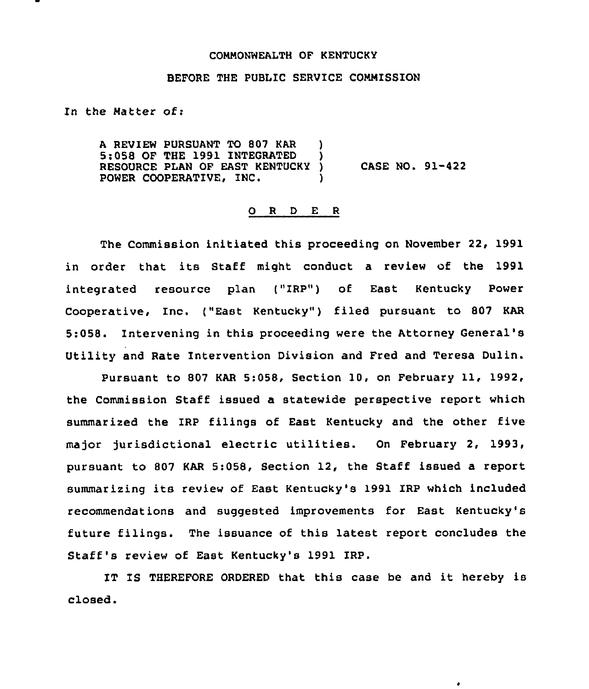## COMMONWEALTH OF KENTUCKY

## BEFORE THE PUBLIC SERVICE CONNISSION

In the Natter of:

<sup>A</sup> REVIEW PURSUANT TO 807 KAR ) 5:058 OF THE 1991 INTEGRATED ) RESOURCE PLAN OF EAST KENTUCKY ) POWER COOPERATIVE, INC. CASE NO. 91-422

## 0 R <sup>D</sup> E <sup>R</sup>

The Commission initiated this proceeding on November 22, 1991 in order that its Staff might conduct <sup>a</sup> review of the 1991 integrated resource plan ("IRP") of East Kentucky Power Cooperative, Inc. ("East Kentucky") filed pursuant to 807 KAR 5:058. Intervening in this proceeding were the Attorney General' Utility and Rate Intervention Division and Fred and Teresa Dulin.

Pursuant to 807 KAR 5:058, Section 10, on February 11, 1992, the Commission Staff issued a statewide perspective report which summarized the IRP filings of East Kentucky and the other five major jurisdictional electric utilities. On February 2, 1993, pursuant to 807 KAR 5:058, Section 12, the Staff issued a report summarizing its review of East Kentucky's 1991 IRP which included recommendations and suggested improvements for East Kentucky's future filings. The issuance of this latest report concludes the Staff's review of East Kentucky's 1991 IRP.

IT IS THEREFORE ORDERED that this case be and it hereby is closed.

 $\bullet$